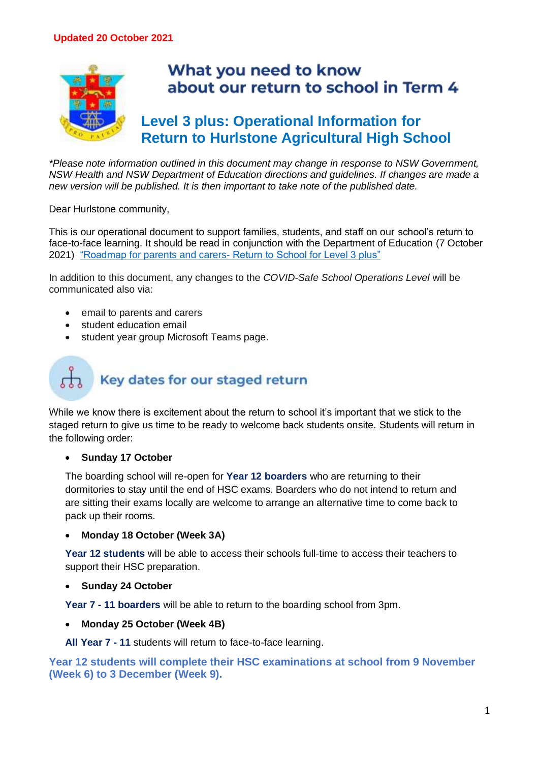

# **Level 3 plus: Operational Information for**

*\*Please note information outlined in this document may change in response to NSW Government, NSW Health and NSW Department of Education directions and guidelines. If changes are made a new version will be published. It is then important to take note of the published date.*

Dear Hurlstone community,

This is our operational document to support families, students, and staff on our school's return to face-to-face learning. It should be read in conjunction with the Department of Education (7 October 2021) "Roadmap for parents and carers- [Return to School for Level 3 plus"](https://education.nsw.gov.au/covid-19/advice-for-families/level-3-plus-schools#About0)

In addition to this document, any changes to the *COVID-Safe School Operations Level* will be communicated also via:

- email to parents and carers
- student education email
- student year group Microsoft Teams page.

## Key dates for our staged return

While we know there is excitement about the return to school it's important that we stick to the staged return to give us time to be ready to welcome back students onsite. Students will return in the following order:

#### • **Sunday 17 October**

The boarding school will re-open for **Year 12 boarders** who are returning to their dormitories to stay until the end of HSC exams. Boarders who do not intend to return and are sitting their exams locally are welcome to arrange an alternative time to come back to pack up their rooms.

#### • **Monday 18 October (Week 3A)**

**Year 12 students** will be able to access their schools full-time to access their teachers to support their HSC preparation.

#### • **Sunday 24 October**

**Year 7 - 11 boarders** will be able to return to the boarding school from 3pm.

• **Monday 25 October (Week 4B)**

**All Year 7 - 11** students will return to face-to-face learning.

**Year 12 students will complete their HSC examinations at school from 9 November (Week 6) to 3 December (Week 9).**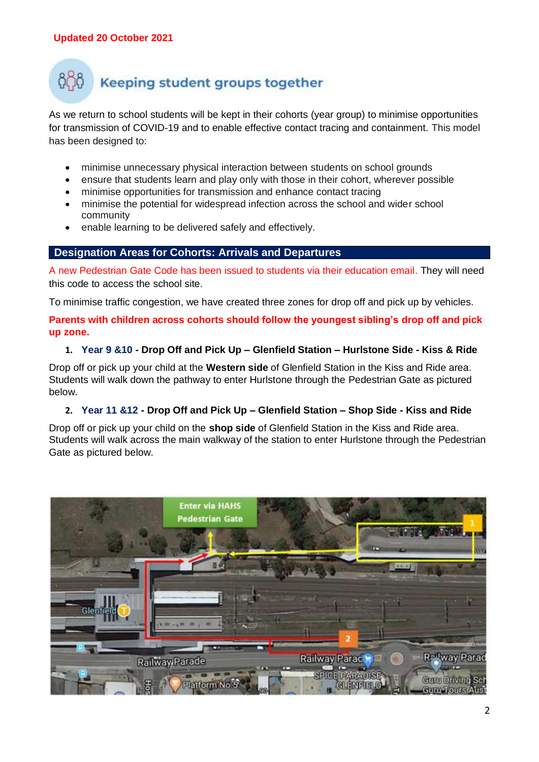## Keeping student groups together

As we return to school students will be kept in their cohorts (year group) to minimise opportunities for transmission of COVID-19 and to enable effective contact tracing and containment. This model has been designed to:

- minimise unnecessary physical interaction between students on school grounds
- ensure that students learn and play only with those in their cohort, wherever possible
- minimise opportunities for transmission and enhance contact tracing
- minimise the potential for widespread infection across the school and wider school community
- enable learning to be delivered safely and effectively.

#### **Designation Areas for Cohorts: Arrivals and Departures**

A new Pedestrian Gate Code has been issued to students via their education email. They will need this code to access the school site.

To minimise traffic congestion, we have created three zones for drop off and pick up by vehicles.

**Parents with children across cohorts should follow the youngest sibling's drop off and pick up zone.**

#### **1. Year 9 &10 - Drop Off and Pick Up – Glenfield Station – Hurlstone Side - Kiss & Ride**

Drop off or pick up your child at the **Western side** of Glenfield Station in the Kiss and Ride area. Students will walk down the pathway to enter Hurlstone through the Pedestrian Gate as pictured below.

#### **2. Year 11 &12 - Drop Off and Pick Up – Glenfield Station – Shop Side - Kiss and Ride**

Drop off or pick up your child on the **shop side** of Glenfield Station in the Kiss and Ride area. Students will walk across the main walkway of the station to enter Hurlstone through the Pedestrian Gate as pictured below.

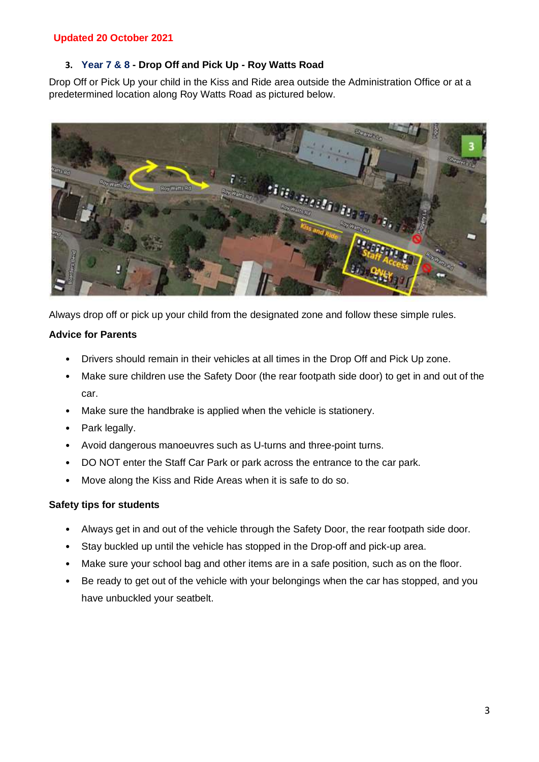#### **3. Year 7 & 8 - Drop Off and Pick Up - Roy Watts Road**

Drop Off or Pick Up your child in the Kiss and Ride area outside the Administration Office or at a predetermined location along Roy Watts Road as pictured below.



Always drop off or pick up your child from the designated zone and follow these simple rules.

#### **Advice for Parents**

- Drivers should remain in their vehicles at all times in the Drop Off and Pick Up zone.
- Make sure children use the Safety Door (the rear footpath side door) to get in and out of the car.
- Make sure the handbrake is applied when the vehicle is stationery.
- Park legally.
- Avoid dangerous manoeuvres such as U-turns and three-point turns.
- DO NOT enter the Staff Car Park or park across the entrance to the car park.
- Move along the Kiss and Ride Areas when it is safe to do so.

#### **Safety tips for students**

- Always get in and out of the vehicle through the Safety Door, the rear footpath side door.
- Stay buckled up until the vehicle has stopped in the Drop-off and pick-up area.
- Make sure your school bag and other items are in a safe position, such as on the floor.
- Be ready to get out of the vehicle with your belongings when the car has stopped, and you have unbuckled your seatbelt.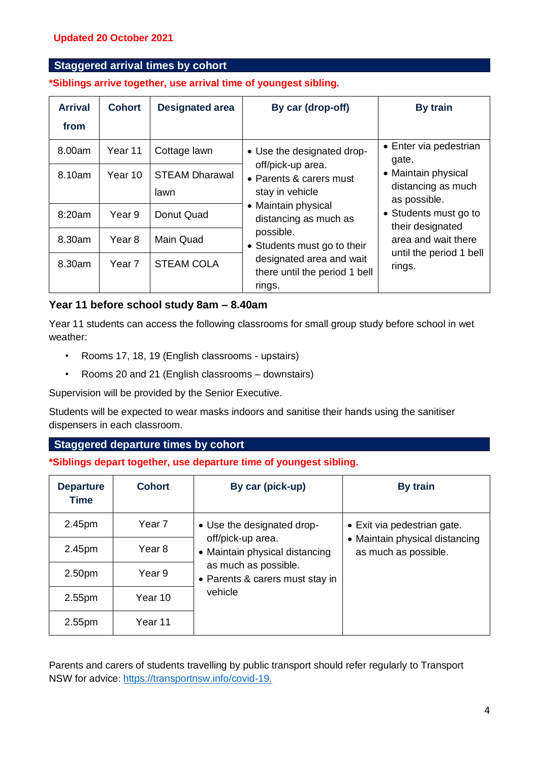#### **Staggered arrival times by cohort**

**\*Siblings arrive together, use arrival time of youngest sibling.**

| <b>Arrival</b><br>from | <b>Cohort</b>     | <b>Designated area</b>        | By car (drop-off)                                                                                                                                                                                                                                                | By train                                                                                                                                                                                              |
|------------------------|-------------------|-------------------------------|------------------------------------------------------------------------------------------------------------------------------------------------------------------------------------------------------------------------------------------------------------------|-------------------------------------------------------------------------------------------------------------------------------------------------------------------------------------------------------|
| 8.00am                 | Year 11           | Cottage lawn                  | • Use the designated drop-<br>off/pick-up area.<br>• Parents & carers must<br>stay in vehicle<br>• Maintain physical<br>distancing as much as<br>possible.<br>• Students must go to their<br>designated area and wait<br>there until the period 1 bell<br>rings. | • Enter via pedestrian<br>gate.<br>• Maintain physical<br>distancing as much<br>as possible.<br>• Students must go to<br>their designated<br>area and wait there<br>until the period 1 bell<br>rings. |
| 8.10am                 | Year 10           | <b>STEAM Dharawal</b><br>lawn |                                                                                                                                                                                                                                                                  |                                                                                                                                                                                                       |
| 8:20am                 | Year <sub>9</sub> | Donut Quad                    |                                                                                                                                                                                                                                                                  |                                                                                                                                                                                                       |
| 8.30am                 | Year <sub>8</sub> | <b>Main Quad</b>              |                                                                                                                                                                                                                                                                  |                                                                                                                                                                                                       |
| 8.30am                 | Year 7            | <b>STEAM COLA</b>             |                                                                                                                                                                                                                                                                  |                                                                                                                                                                                                       |

#### **Year 11 before school study 8am – 8.40am**

Year 11 students can access the following classrooms for small group study before school in wet weather:

- Rooms 17, 18, 19 (English classrooms upstairs)
- Rooms 20 and 21 (English classrooms downstairs)

Supervision will be provided by the Senior Executive.

Students will be expected to wear masks indoors and sanitise their hands using the sanitiser dispensers in each classroom.

#### **Staggered departure times by cohort**

**\*Siblings depart together, use departure time of youngest sibling.**

| <b>Departure</b><br><b>Time</b> | <b>Cohort</b> | By car (pick-up)                                                                                                                             | By train                                               |
|---------------------------------|---------------|----------------------------------------------------------------------------------------------------------------------------------------------|--------------------------------------------------------|
| 2.45pm                          | Year 7        | • Use the designated drop-<br>off/pick-up area.<br>• Maintain physical distancing<br>as much as possible.<br>• Parents & carers must stay in | • Exit via pedestrian gate.                            |
| 2.45pm                          | Year 8        |                                                                                                                                              | • Maintain physical distancing<br>as much as possible. |
| 2.50 <sub>pm</sub>              | Year 9        |                                                                                                                                              |                                                        |
| 2.55pm                          | Year 10       | vehicle                                                                                                                                      |                                                        |
| 2.55pm                          | Year 11       |                                                                                                                                              |                                                        |

Parents and carers of students travelling by public transport should refer regularly to Transport NSW for advice: [https://transportnsw.info/covid-19.](https://transportnsw.info/covid-19.%EF%BF%BDHYPERLINK%20%22https:/transportnsw.info/covid-19.%22)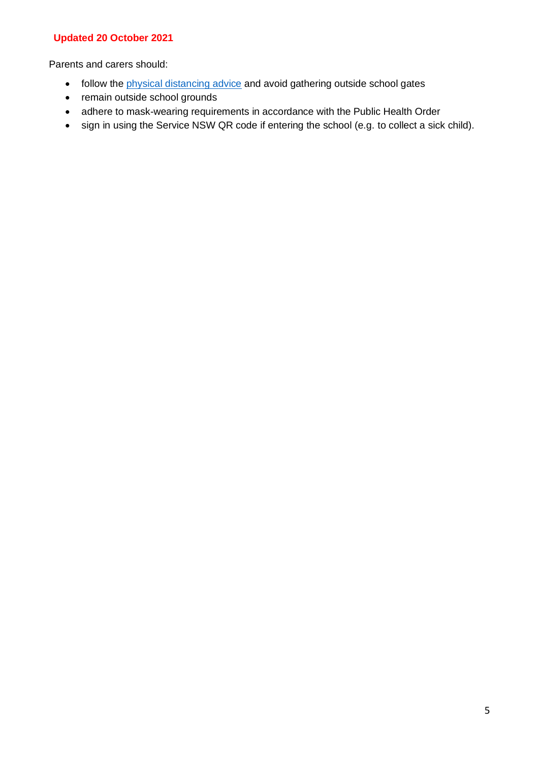Parents and carers should:

- follow the *[physical distancing advice](https://www.nsw.gov.au/covid-19/rules/what-you-can-do-nsw)* and avoid gathering outside school gates
- remain outside school grounds
- adhere to mask-wearing requirements in accordance with the Public Health Order
- sign in using the Service NSW QR code if entering the school (e.g. to collect a sick child).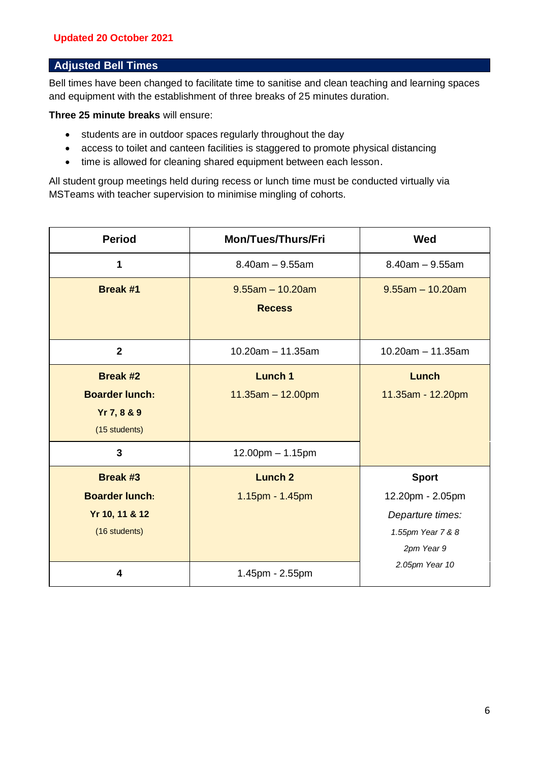#### **Adjusted Bell Times**

Bell times have been changed to facilitate time to sanitise and clean teaching and learning spaces and equipment with the establishment of three breaks of 25 minutes duration.

**Three 25 minute breaks** will ensure:

- students are in outdoor spaces regularly throughout the day
- access to toilet and canteen facilities is staggered to promote physical distancing
- time is allowed for cleaning shared equipment between each lesson.

All student group meetings held during recess or lunch time must be conducted virtually via MSTeams with teacher supervision to minimise mingling of cohorts.

| <b>Period</b>                                                               | <b>Mon/Tues/Thurs/Fri</b>            | <b>Wed</b>                                                                              |
|-----------------------------------------------------------------------------|--------------------------------------|-----------------------------------------------------------------------------------------|
| 1                                                                           | $8.40$ am $-9.55$ am                 | $8.40$ am $-9.55$ am                                                                    |
| <b>Break #1</b>                                                             | $9.55$ am - 10.20am<br><b>Recess</b> | $9.55$ am - 10.20am                                                                     |
| $\overline{2}$                                                              | $10.20$ am $-11.35$ am               | $10.20$ am $- 11.35$ am                                                                 |
| <b>Break #2</b><br><b>Boarder lunch:</b><br>Yr 7, 8 & 9<br>(15 students)    | Lunch 1<br>$11.35am - 12.00pm$       | Lunch<br>11.35am - 12.20pm                                                              |
| $\overline{3}$                                                              | 12.00pm - 1.15pm                     |                                                                                         |
| <b>Break #3</b><br><b>Boarder lunch:</b><br>Yr 10, 11 & 12<br>(16 students) | <b>Lunch 2</b><br>1.15pm - 1.45pm    | <b>Sport</b><br>12.20pm - 2.05pm<br>Departure times:<br>1.55pm Year 7 & 8<br>2pm Year 9 |
| 4                                                                           | 1.45pm - 2.55pm                      | 2.05pm Year 10                                                                          |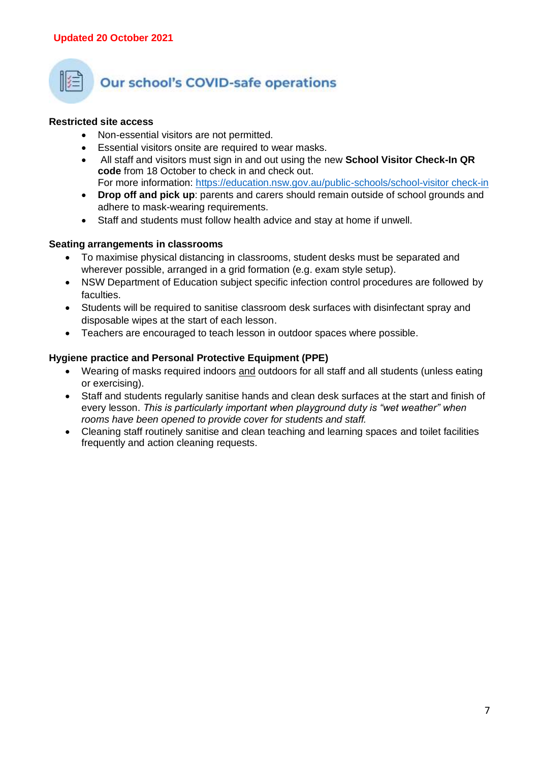

## **Our school's COVID-safe operations**

#### **Restricted site access**

- Non-essential visitors are not permitted.
- Essential visitors onsite are required to wear masks.
- All staff and visitors must sign in and out using the new **School Visitor Check-In QR code** from 18 October to check in and check out. For more information: [https://education.nsw.gov.au/public-schools/school-visitor check-in](https://education.nsw.gov.au/public-schools/school-visitor-check-in)
- **Drop off and pick up**: parents and carers should remain outside of school grounds and adhere to mask-wearing requirements.
- Staff and students must follow health advice and stay at home if unwell.

#### **Seating arrangements in classrooms**

- To maximise physical distancing in classrooms, student desks must be separated and wherever possible, arranged in a grid formation (e.g. exam style setup).
- NSW Department of Education subject specific infection control procedures are followed by faculties.
- Students will be required to sanitise classroom desk surfaces with disinfectant spray and disposable wipes at the start of each lesson.
- Teachers are encouraged to teach lesson in outdoor spaces where possible.

#### **Hygiene practice and Personal Protective Equipment (PPE)**

- Wearing of masks required indoors and outdoors for all staff and all students (unless eating or exercising).
- Staff and students regularly sanitise hands and clean desk surfaces at the start and finish of every lesson. *This is particularly important when playground duty is "wet weather" when rooms have been opened to provide cover for students and staff.*
- Cleaning staff routinely sanitise and clean teaching and learning spaces and toilet facilities frequently and action cleaning requests.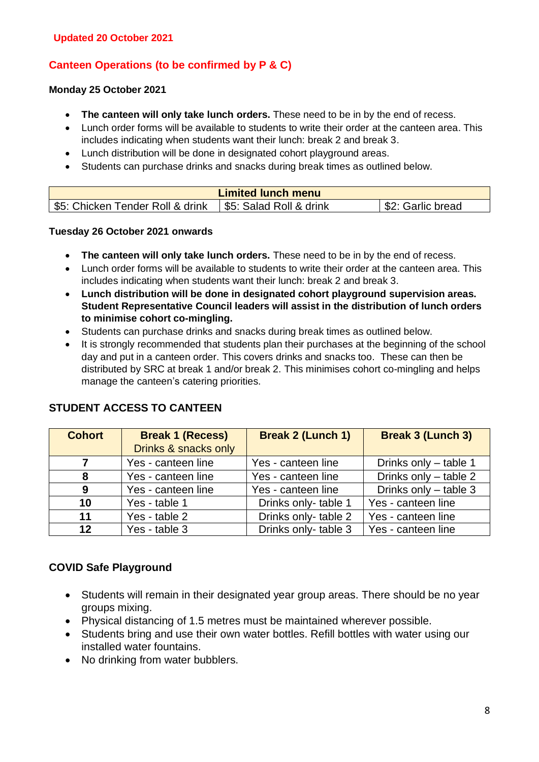#### **Canteen Operations (to be confirmed by P & C)**

#### **Monday 25 October 2021**

- **The canteen will only take lunch orders.** These need to be in by the end of recess.
- Lunch order forms will be available to students to write their order at the canteen area. This includes indicating when students want their lunch: break 2 and break 3.
- Lunch distribution will be done in designated cohort playground areas.
- Students can purchase drinks and snacks during break times as outlined below.

| <b>Limited lunch menu</b>       |                         |                  |  |
|---------------------------------|-------------------------|------------------|--|
| S5: Chicken Tender Roll & drink | \$5: Salad Roll & drink | S2: Garlic bread |  |

#### **Tuesday 26 October 2021 onwards**

- **The canteen will only take lunch orders.** These need to be in by the end of recess.
- Lunch order forms will be available to students to write their order at the canteen area. This includes indicating when students want their lunch: break 2 and break 3.
- **Lunch distribution will be done in designated cohort playground supervision areas. Student Representative Council leaders will assist in the distribution of lunch orders to minimise cohort co-mingling.**
- Students can purchase drinks and snacks during break times as outlined below.
- It is strongly recommended that students plan their purchases at the beginning of the school day and put in a canteen order. This covers drinks and snacks too. These can then be distributed by SRC at break 1 and/or break 2. This minimises cohort co-mingling and helps manage the canteen's catering priorities.

| <b>Cohort</b> | <b>Break 1 (Recess)</b><br>Drinks & snacks only | <b>Break 2 (Lunch 1)</b> | <b>Break 3 (Lunch 3)</b> |
|---------------|-------------------------------------------------|--------------------------|--------------------------|
| 7             | Yes - canteen line                              | Yes - canteen line       | Drinks only - table 1    |
| 8             | Yes - canteen line                              | Yes - canteen line       | Drinks only - table 2    |
| 9             | Yes - canteen line                              | Yes - canteen line       | Drinks only - table 3    |
| 10            | Yes - table 1                                   | Drinks only-table 1      | Yes - canteen line       |
| 11            | Yes - table 2                                   | Drinks only-table 2      | Yes - canteen line       |
| $12 \,$       | Yes - table 3                                   | Drinks only-table 3      | Yes - canteen line       |

#### **STUDENT ACCESS TO CANTEEN**

#### **COVID Safe Playground**

- Students will remain in their designated year group areas. There should be no year groups mixing.
- Physical distancing of 1.5 metres must be maintained wherever possible.
- Students bring and use their own water bottles. Refill bottles with water using our installed water fountains.
- No drinking from water bubblers.